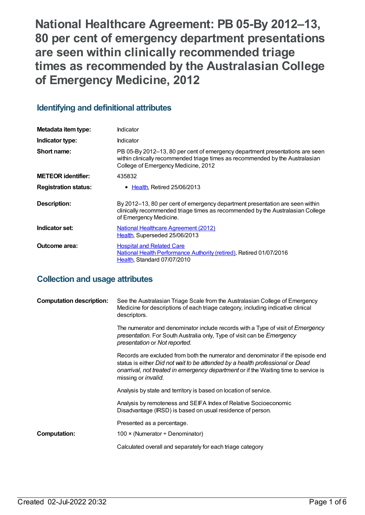**National Healthcare Agreement: PB 05-By 2012–13, 80 per cent of emergency department presentations are seen within clinically recommended triage times as recommended by the Australasian College of Emergency Medicine, 2012**

# **Identifying and definitional attributes**

| Metadata item type:         | Indicator                                                                                                                                                                                            |
|-----------------------------|------------------------------------------------------------------------------------------------------------------------------------------------------------------------------------------------------|
| Indicator type:             | Indicator                                                                                                                                                                                            |
| Short name:                 | PB 05-By 2012-13, 80 per cent of emergency department presentations are seen<br>within clinically recommended triage times as recommended by the Australasian<br>College of Emergency Medicine, 2012 |
| <b>METEOR identifier:</b>   | 435832                                                                                                                                                                                               |
| <b>Registration status:</b> | • Health, Retired 25/06/2013                                                                                                                                                                         |
| Description:                | By 2012–13, 80 per cent of emergency department presentation are seen within<br>clinically recommended triage times as recommended by the Australasian College<br>of Emergency Medicine.             |
| Indicator set:              | National Healthcare Agreement (2012)<br>Health, Superseded 25/06/2013                                                                                                                                |
| Outcome area:               | <b>Hospital and Related Care</b><br>National Health Performance Authority (retired), Retired 01/07/2016<br>Health, Standard 07/07/2010                                                               |

# **Collection and usage attributes**

| <b>Computation description:</b> | See the Australasian Triage Scale from the Australasian College of Emergency<br>Medicine for descriptions of each triage category, including indicative clinical<br>descriptors.                                                                                                       |
|---------------------------------|----------------------------------------------------------------------------------------------------------------------------------------------------------------------------------------------------------------------------------------------------------------------------------------|
|                                 | The numerator and denominator include records with a Type of visit of <i>Emergency</i><br>presentation. For South Australia only, Type of visit can be Emergency<br>presentation or Not reported.                                                                                      |
|                                 | Records are excluded from both the numerator and denominator if the episode end<br>status is either Did not wait to be attended by a health professional or Dead<br>onarrival, not treated in emergency department or if the Waiting time to service is<br>missing or <i>invalid</i> . |
|                                 | Analysis by state and territory is based on location of service.                                                                                                                                                                                                                       |
|                                 | Analysis by remoteness and SEIFA Index of Relative Socioeconomic<br>Disadvantage (IRSD) is based on usual residence of person.                                                                                                                                                         |
|                                 | Presented as a percentage.                                                                                                                                                                                                                                                             |
| <b>Computation:</b>             | 100 $\times$ (Numerator ÷ Denominator)                                                                                                                                                                                                                                                 |
|                                 | Calculated overall and separately for each triage category                                                                                                                                                                                                                             |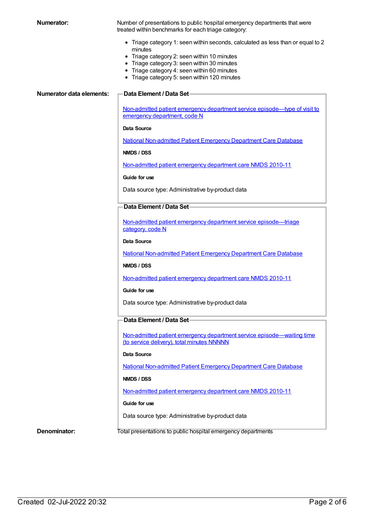**Numerator:** Number of presentations to public hospital emergency departments that were treated within benchmarks for each triage category:

- Triage category 1: seen within seconds, calculated as less than or equal to 2 minutes
- Triage category 2: seen within 10 minutes
- Triage category 3: seen within 30 minutes
- Triage category 4: seen within 60 minutes
- Triage category 5: seen within 120 minutes

#### **Numerator data elements: Data Element / Data Set**

Non-admitted patient emergency department service [episode—type](https://meteor.aihw.gov.au/content/270362) of visit to emergency department, code N

#### **Data Source**

National [Non-admitted](https://meteor.aihw.gov.au/content/394733) Patient Emergency Department Care Database

**NMDS / DSS**

[Non-admitted](https://meteor.aihw.gov.au/content/374220) patient emergency department care NMDS 2010-11

**Guide for use**

Data source type: Administrative by-product data

# **Data Element / Data Set**

Non-admitted patient emergency department service [episode—triage](https://meteor.aihw.gov.au/content/390392) category, code N

### **Data Source**

National [Non-admitted](https://meteor.aihw.gov.au/content/394733) Patient Emergency Department Care Database

#### **NMDS / DSS**

[Non-admitted](https://meteor.aihw.gov.au/content/374220) patient emergency department care NMDS 2010-11

### **Guide for use**

Data source type: Administrative by-product data

# **Data Element / Data Set**

Non-admitted patient emergency department service [episode—waiting](https://meteor.aihw.gov.au/content/390412) time (to service delivery), total minutes NNNNN

#### **Data Source**

National [Non-admitted](https://meteor.aihw.gov.au/content/394733) Patient Emergency Department Care Database

#### **NMDS / DSS**

[Non-admitted](https://meteor.aihw.gov.au/content/374220) patient emergency department care NMDS 2010-11

### **Guide for use**

Data source type: Administrative by-product data

**Denominator:** Total presentations to public hospital emergency departments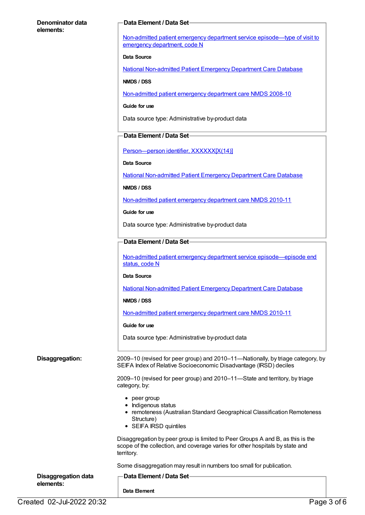## **Denominator data elements:**

# **Data Element / Data Set**

Non-admitted patient emergency department service [episode—type](https://meteor.aihw.gov.au/content/270362) of visit to emergency department, code N

#### **Data Source**

National [Non-admitted](https://meteor.aihw.gov.au/content/394733) Patient Emergency Department Care Database

**NMDS / DSS**

[Non-admitted](https://meteor.aihw.gov.au/content/363530) patient emergency department care NMDS 2008-10

**Guide for use**

Data source type: Administrative by-product data

## **Data Element / Data Set**

Person-person identifier, XXXXXX[X(14)]

**Data Source**

National [Non-admitted](https://meteor.aihw.gov.au/content/394733) Patient Emergency Department Care Database

**NMDS / DSS**

[Non-admitted](https://meteor.aihw.gov.au/content/374220) patient emergency department care NMDS 2010-11

**Guide for use**

Data source type: Administrative by-product data

## **Data Element / Data Set**

Non-admitted patient emergency department service [episode—episode](https://meteor.aihw.gov.au/content/322641) end status, code N

#### **Data Source**

National [Non-admitted](https://meteor.aihw.gov.au/content/394733) Patient Emergency Department Care Database

**NMDS / DSS**

[Non-admitted](https://meteor.aihw.gov.au/content/374220) patient emergency department care NMDS 2010-11

#### **Guide for use**

Data source type: Administrative by-product data

**Disaggregation:** 2009–10 (revised for peer group) and 2010–11—Nationally, by triage category, by SEIFA Index of Relative Socioeconomic Disadvantage (IRSD) deciles

> 2009–10 (revised for peer group) and 2010–11—State and territory, by triage category, by:

- peer group
- Indigenous status
- remoteness (Australian Standard Geographical Classification Remoteness Structure)
- SEIFA IRSD quintiles

Disaggregation by peer group is limited to Peer Groups A and B, as this is the scope of the collection, and coverage varies for other hospitals by state and territory.

Some disaggregation may result in numbers too small for publication.

| <b>Disaggregation data</b><br>elements: | - Data Element / Data Set |  |
|-----------------------------------------|---------------------------|--|
|                                         | Data Element              |  |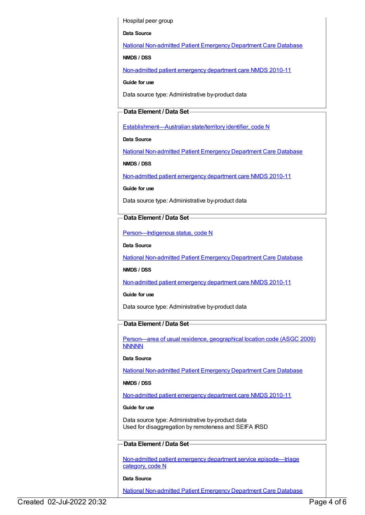Hospital peer group

**Data Source**

National [Non-admitted](https://meteor.aihw.gov.au/content/394733) Patient Emergency Department Care Database

**NMDS / DSS**

[Non-admitted](https://meteor.aihw.gov.au/content/374220) patient emergency department care NMDS 2010-11

**Guide for use**

Data source type: Administrative by-product data

# **Data Element / Data Set**

[Establishment—Australian](https://meteor.aihw.gov.au/content/269941) state/territory identifier, code N

**Data Source**

National [Non-admitted](https://meteor.aihw.gov.au/content/394733) Patient Emergency Department Care Database

**NMDS / DSS**

[Non-admitted](https://meteor.aihw.gov.au/content/374220) patient emergency department care NMDS 2010-11

**Guide for use**

Data source type: Administrative by-product data

# **Data Element / Data Set**

[Person—Indigenous](https://meteor.aihw.gov.au/content/291036) status, code N

**Data Source**

National [Non-admitted](https://meteor.aihw.gov.au/content/394733) Patient Emergency Department Care Database

**NMDS / DSS**

[Non-admitted](https://meteor.aihw.gov.au/content/374220) patient emergency department care NMDS 2010-11

**Guide for use**

Data source type: Administrative by-product data

# **Data Element / Data Set**

[Person—area](https://meteor.aihw.gov.au/content/386783) of usual residence, geographical location code (ASGC 2009) **NNNNN** 

**Data Source**

National [Non-admitted](https://meteor.aihw.gov.au/content/394733) Patient Emergency Department Care Database

# **NMDS / DSS**

[Non-admitted](https://meteor.aihw.gov.au/content/374220) patient emergency department care NMDS 2010-11

**Guide for use**

Data source type: Administrative by-product data Used for disaggregation by remoteness and SEIFA IRSD

# **Data Element / Data Set**

Non-admitted patient emergency department service [episode—triage](https://meteor.aihw.gov.au/content/390392) category, code N

# **Data Source**

National [Non-admitted](https://meteor.aihw.gov.au/content/394733) Patient Emergency Department Care Database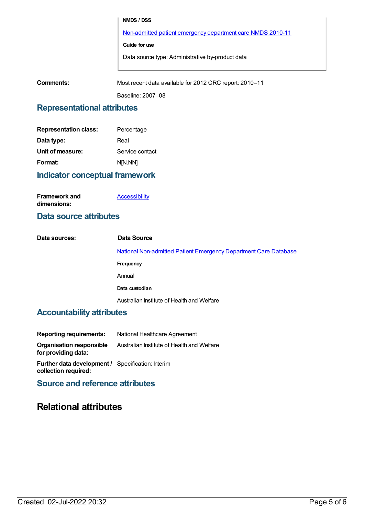## **NMDS / DSS**

[Non-admitted](https://meteor.aihw.gov.au/content/374220) patient emergency department care NMDS 2010-11

### **Guide for use**

Data source type: Administrative by-product data

**Comments:** Most recent data available for 2012 CRC report: 2010–11

Baseline: 2007–08

# **Representational attributes**

| <b>Representation class:</b> | Percentage      |
|------------------------------|-----------------|
| Data type:                   | Real            |
| Unit of measure:             | Service contact |
| Format:                      | N[N.NN]         |
|                              |                 |

# **Indicator conceptual framework**

| <b>Framework and</b> | <b>Accessibility</b> |
|----------------------|----------------------|
| dimensions:          |                      |

# **Data source attributes**

| Data sources: | Data Source                                                      |  |
|---------------|------------------------------------------------------------------|--|
|               | National Non-admitted Patient Emergency Department Care Database |  |
|               | Frequency                                                        |  |
|               | Annual                                                           |  |
|               | Data custodian                                                   |  |
|               | Australian Institute of Health and Welfare                       |  |

# **Accountability attributes**

| <b>Reporting requirements:</b>                  | National Healthcare Agreement              |
|-------------------------------------------------|--------------------------------------------|
| Organisation responsible<br>for providing data: | Australian Institute of Health and Welfare |

**Further data development /** Specification: Interim **collection required:**

**Source and reference attributes**

# **Relational attributes**